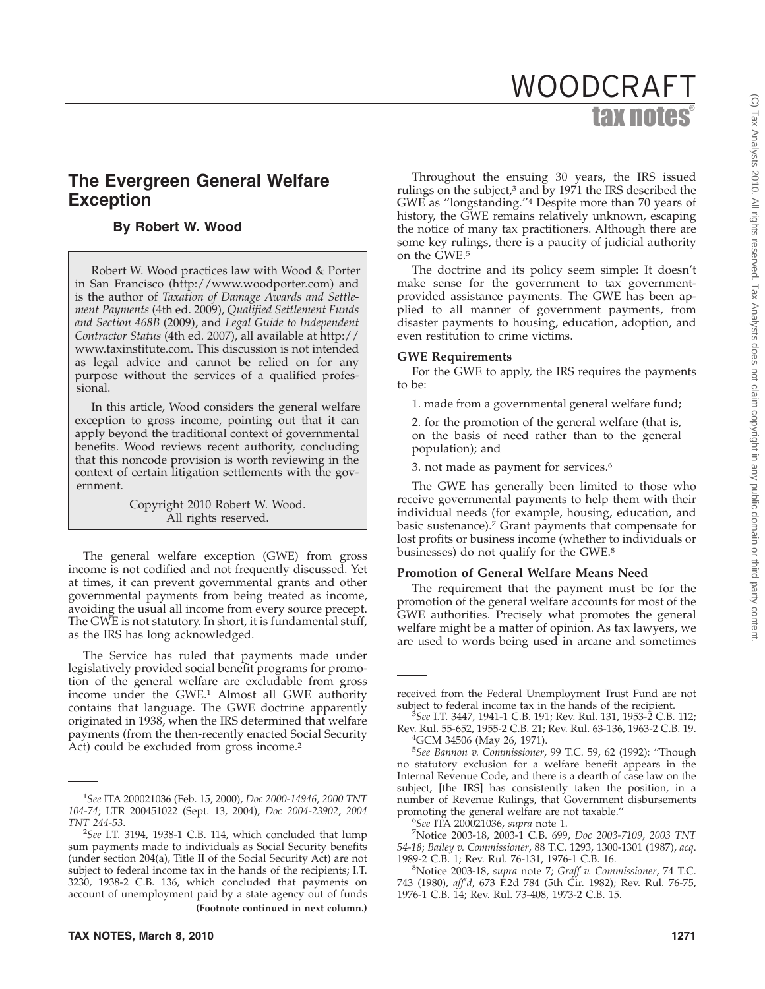# tax notes® WOODCRAFT

## **The Evergreen General Welfare Exception**

## **By Robert W. Wood**

Robert W. Wood practices law with Wood & Porter in San Francisco (http://www.woodporter.com) and is the author of *Taxation of Damage Awards and Settlement Payments* (4th ed. 2009), *Qualified Settlement Funds and Section 468B* (2009), and *Legal Guide to Independent Contractor Status* (4th ed. 2007), all available at http:// www.taxinstitute.com. This discussion is not intended as legal advice and cannot be relied on for any purpose without the services of a qualified professional.

In this article, Wood considers the general welfare exception to gross income, pointing out that it can apply beyond the traditional context of governmental benefits. Wood reviews recent authority, concluding that this noncode provision is worth reviewing in the context of certain litigation settlements with the government.

> Copyright 2010 Robert W. Wood. All rights reserved.

The general welfare exception (GWE) from gross income is not codified and not frequently discussed. Yet at times, it can prevent governmental grants and other governmental payments from being treated as income, avoiding the usual all income from every source precept. The GWE is not statutory. In short, it is fundamental stuff, as the IRS has long acknowledged.

The Service has ruled that payments made under legislatively provided social benefit programs for promotion of the general welfare are excludable from gross income under the GWE.<sup>1</sup> Almost all GWE authority contains that language. The GWE doctrine apparently originated in 1938, when the IRS determined that welfare payments (from the then-recently enacted Social Security Act) could be excluded from gross income.<sup>2</sup>

Throughout the ensuing 30 years, the IRS issued rulings on the subject, $3$  and by 1971 the IRS described the GWE as ''longstanding.''4 Despite more than 70 years of history, the GWE remains relatively unknown, escaping the notice of many tax practitioners. Although there are some key rulings, there is a paucity of judicial authority on the GWE.5

The doctrine and its policy seem simple: It doesn't make sense for the government to tax governmentprovided assistance payments. The GWE has been applied to all manner of government payments, from disaster payments to housing, education, adoption, and even restitution to crime victims.

### **GWE Requirements**

For the GWE to apply, the IRS requires the payments to be:

1. made from a governmental general welfare fund;

2. for the promotion of the general welfare (that is, on the basis of need rather than to the general population); and

3. not made as payment for services.6

The GWE has generally been limited to those who receive governmental payments to help them with their individual needs (for example, housing, education, and basic sustenance).7 Grant payments that compensate for lost profits or business income (whether to individuals or businesses) do not qualify for the GWE.8

#### **Promotion of General Welfare Means Need**

The requirement that the payment must be for the promotion of the general welfare accounts for most of the GWE authorities. Precisely what promotes the general welfare might be a matter of opinion. As tax lawyers, we are used to words being used in arcane and sometimes

<sup>1</sup> *See* ITA 200021036 (Feb. 15, 2000), *Doc 2000-14946*, *2000 TNT 104-74*; LTR 200451022 (Sept. 13, 2004), *Doc 2004-23902*, *2004 TNT 244-53*. <sup>2</sup>

*See* I.T. 3194, 1938-1 C.B. 114, which concluded that lump sum payments made to individuals as Social Security benefits (under section 204(a), Title II of the Social Security Act) are not subject to federal income tax in the hands of the recipients; I.T. 3230, 1938-2 C.B. 136, which concluded that payments on account of unemployment paid by a state agency out of funds **(Footnote continued in next column.)**

received from the Federal Unemployment Trust Fund are not subject to federal income tax in the hands of the recipient. <sup>3</sup> *See* I.T. 3447, 1941-1 C.B. 191; Rev. Rul. 131, 1953-2 C.B. 112;

Rev. Rul. 55-652, 1955-2 C.B. 21; Rev. Rul. 63-136, 1963-2 C.B. 19. <sup>4</sup> <sup>4</sup>GCM 34506 (May 26, 1971).

<sup>5</sup> *See Bannon v. Commissioner*, 99 T.C. 59, 62 (1992): ''Though no statutory exclusion for a welfare benefit appears in the Internal Revenue Code, and there is a dearth of case law on the subject, [the IRS] has consistently taken the position, in a number of Revenue Rulings, that Government disbursements promoting the general welfare are not taxable."

*See* ITA 200021036, *supra* note 1. <sup>7</sup>

Notice 2003-18, 2003-1 C.B. 699, *Doc 2003-7109*, *2003 TNT 54-18*; *Bailey v. Commissioner*, 88 T.C. 1293, 1300-1301 (1987), *acq*. 1989-2 C.B. 1; Rev. Rul. 76-131, 1976-1 C.B. 16. <sup>8</sup>

Notice 2003-18, *supra* note 7; *Graff v. Commissioner*, 74 T.C. 743 (1980), *aff'd*, 673 F.2d 784 (5th Cir. 1982); Rev. Rul. 76-75, 1976-1 C.B. 14; Rev. Rul. 73-408, 1973-2 C.B. 15.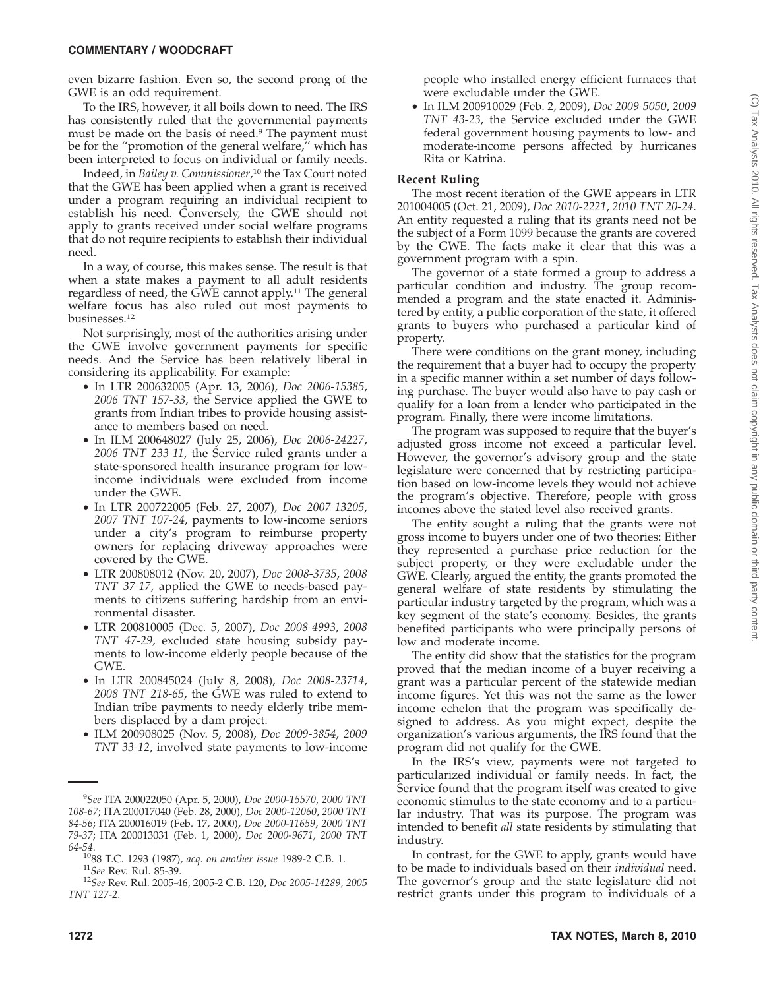even bizarre fashion. Even so, the second prong of the GWE is an odd requirement.

To the IRS, however, it all boils down to need. The IRS has consistently ruled that the governmental payments must be made on the basis of need.<sup>9</sup> The payment must be for the ''promotion of the general welfare,'' which has been interpreted to focus on individual or family needs.

Indeed, in *Bailey v. Commissioner*, <sup>10</sup> the Tax Court noted that the GWE has been applied when a grant is received under a program requiring an individual recipient to establish his need. Conversely, the GWE should not apply to grants received under social welfare programs that do not require recipients to establish their individual need.

In a way, of course, this makes sense. The result is that when a state makes a payment to all adult residents regardless of need, the GWE cannot apply.11 The general welfare focus has also ruled out most payments to businesses.12

Not surprisingly, most of the authorities arising under the GWE involve government payments for specific needs. And the Service has been relatively liberal in considering its applicability. For example:

- In LTR 200632005 (Apr. 13, 2006), *Doc 2006-15385*, *2006 TNT 157-33*, the Service applied the GWE to grants from Indian tribes to provide housing assistance to members based on need.
- In ILM 200648027 (July 25, 2006), *Doc 2006-24227*, *2006 TNT 233-11*, the Service ruled grants under a state-sponsored health insurance program for lowincome individuals were excluded from income under the GWE.
- In LTR 200722005 (Feb. 27, 2007), *Doc 2007-13205*, *2007 TNT 107-24*, payments to low-income seniors under a city's program to reimburse property owners for replacing driveway approaches were covered by the GWE.
- LTR 200808012 (Nov. 20, 2007), *Doc 2008-3735*, *2008 TNT 37-17*, applied the GWE to needs-based payments to citizens suffering hardship from an environmental disaster.
- LTR 200810005 (Dec. 5, 2007), *Doc 2008-4993*, *2008 TNT 47-29*, excluded state housing subsidy payments to low-income elderly people because of the GWE.
- In LTR 200845024 (July 8, 2008), *Doc 2008-23714*, *2008 TNT 218-65*, the GWE was ruled to extend to Indian tribe payments to needy elderly tribe members displaced by a dam project.
- ILM 200908025 (Nov. 5, 2008), *Doc 2009-3854*, *2009 TNT 33-12*, involved state payments to low-income

people who installed energy efficient furnaces that were excludable under the GWE.

• In ILM 200910029 (Feb. 2, 2009), *Doc 2009-5050*, *2009 TNT 43-23*, the Service excluded under the GWE federal government housing payments to low- and moderate-income persons affected by hurricanes Rita or Katrina.

## **Recent Ruling**

The most recent iteration of the GWE appears in LTR 201004005 (Oct. 21, 2009), *Doc 2010-2221*, *2010 TNT 20-24*. An entity requested a ruling that its grants need not be the subject of a Form 1099 because the grants are covered by the GWE. The facts make it clear that this was a government program with a spin.

The governor of a state formed a group to address a particular condition and industry. The group recommended a program and the state enacted it. Administered by entity, a public corporation of the state, it offered grants to buyers who purchased a particular kind of property.

There were conditions on the grant money, including the requirement that a buyer had to occupy the property in a specific manner within a set number of days following purchase. The buyer would also have to pay cash or qualify for a loan from a lender who participated in the program. Finally, there were income limitations.

The program was supposed to require that the buyer's adjusted gross income not exceed a particular level. However, the governor's advisory group and the state legislature were concerned that by restricting participation based on low-income levels they would not achieve the program's objective. Therefore, people with gross incomes above the stated level also received grants.

The entity sought a ruling that the grants were not gross income to buyers under one of two theories: Either they represented a purchase price reduction for the subject property, or they were excludable under the GWE. Clearly, argued the entity, the grants promoted the general welfare of state residents by stimulating the particular industry targeted by the program, which was a key segment of the state's economy. Besides, the grants benefited participants who were principally persons of low and moderate income.

The entity did show that the statistics for the program proved that the median income of a buyer receiving a grant was a particular percent of the statewide median income figures. Yet this was not the same as the lower income echelon that the program was specifically designed to address. As you might expect, despite the organization's various arguments, the IRS found that the program did not qualify for the GWE.

In the IRS's view, payments were not targeted to particularized individual or family needs. In fact, the Service found that the program itself was created to give economic stimulus to the state economy and to a particular industry. That was its purpose. The program was intended to benefit *all* state residents by stimulating that industry.

In contrast, for the GWE to apply, grants would have to be made to individuals based on their *individual* need. The governor's group and the state legislature did not restrict grants under this program to individuals of a

<sup>9</sup> *See* ITA 200022050 (Apr. 5, 2000), *Doc 2000-15570*, *2000 TNT 108-67*; ITA 200017040 (Feb. 28, 2000), *Doc 2000-12060*, *2000 TNT 84-56*; ITA 200016019 (Feb. 17, 2000), *Doc 2000-11659*, *2000 TNT 79-37*; ITA 200013031 (Feb. 1, 2000), *Doc 2000-9671*, *2000 TNT*

*<sup>64-54</sup>*. 1088 T.C. 1293 (1987), *acq. on another issue* 1989-2 C.B. 1. <sup>11</sup>*See* Rev. Rul. 85-39. <sup>12</sup>*See* Rev. Rul. 2005-46, 2005-2 C.B. 120, *Doc 2005-14289*, *<sup>2005</sup>*

*TNT 127-2*.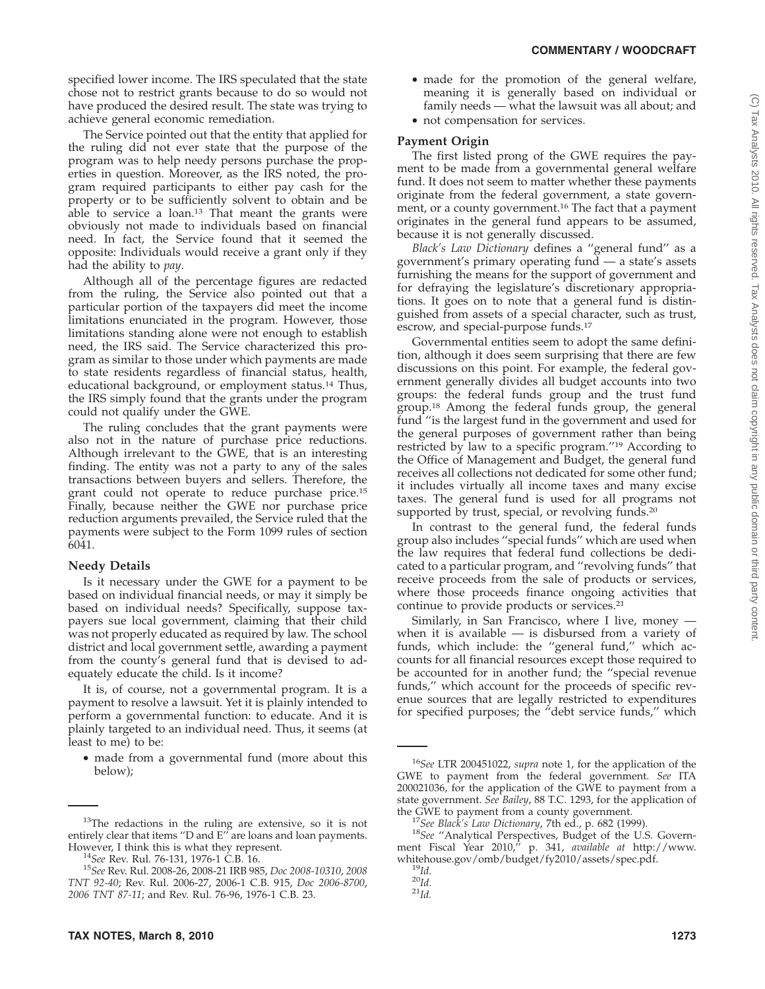specified lower income. The IRS speculated that the state chose not to restrict grants because to do so would not have produced the desired result. The state was trying to achieve general economic remediation.

The Service pointed out that the entity that applied for the ruling did not ever state that the purpose of the program was to help needy persons purchase the properties in question. Moreover, as the IRS noted, the program required participants to either pay cash for the property or to be sufficiently solvent to obtain and be able to service a loan.13 That meant the grants were obviously not made to individuals based on financial need. In fact, the Service found that it seemed the opposite: Individuals would receive a grant only if they had the ability to *pay*.

Although all of the percentage figures are redacted from the ruling, the Service also pointed out that a particular portion of the taxpayers did meet the income limitations enunciated in the program. However, those limitations standing alone were not enough to establish need, the IRS said. The Service characterized this program as similar to those under which payments are made to state residents regardless of financial status, health, educational background, or employment status.14 Thus, the IRS simply found that the grants under the program could not qualify under the GWE.

The ruling concludes that the grant payments were also not in the nature of purchase price reductions. Although irrelevant to the  $\dot{G}WE$ , that is an interesting finding. The entity was not a party to any of the sales transactions between buyers and sellers. Therefore, the grant could not operate to reduce purchase price.15 Finally, because neither the GWE nor purchase price reduction arguments prevailed, the Service ruled that the payments were subject to the Form 1099 rules of section 6041.

## **Needy Details**

Is it necessary under the GWE for a payment to be based on individual financial needs, or may it simply be based on individual needs? Specifically, suppose taxpayers sue local government, claiming that their child was not properly educated as required by law. The school district and local government settle, awarding a payment from the county's general fund that is devised to adequately educate the child. Is it income?

It is, of course, not a governmental program. It is a payment to resolve a lawsuit. Yet it is plainly intended to perform a governmental function: to educate. And it is plainly targeted to an individual need. Thus, it seems (at least to me) to be:

• made from a governmental fund (more about this below);

**TAX NOTES, March 8, 2010 1273**

- made for the promotion of the general welfare, meaning it is generally based on individual or family needs — what the lawsuit was all about; and
- not compensation for services.

## **Payment Origin**

The first listed prong of the GWE requires the payment to be made from a governmental general welfare fund. It does not seem to matter whether these payments originate from the federal government, a state government, or a county government.16 The fact that a payment originates in the general fund appears to be assumed, because it is not generally discussed.

*Black's Law Dictionary* defines a ''general fund'' as a government's primary operating fund — a state's assets furnishing the means for the support of government and for defraying the legislature's discretionary appropriations. It goes on to note that a general fund is distinguished from assets of a special character, such as trust, escrow, and special-purpose funds.17

Governmental entities seem to adopt the same definition, although it does seem surprising that there are few discussions on this point. For example, the federal government generally divides all budget accounts into two groups: the federal funds group and the trust fund group.18 Among the federal funds group, the general fund ''is the largest fund in the government and used for the general purposes of government rather than being restricted by law to a specific program.''19 According to the Office of Management and Budget, the general fund receives all collections not dedicated for some other fund; it includes virtually all income taxes and many excise taxes. The general fund is used for all programs not supported by trust, special, or revolving funds.<sup>20</sup>

In contrast to the general fund, the federal funds group also includes ''special funds'' which are used when the law requires that federal fund collections be dedicated to a particular program, and ''revolving funds'' that receive proceeds from the sale of products or services, where those proceeds finance ongoing activities that continue to provide products or services.21

Similarly, in San Francisco, where I live, money when it is available  $-$  is disbursed from a variety of funds, which include: the ''general fund,'' which accounts for all financial resources except those required to be accounted for in another fund; the ''special revenue funds,'' which account for the proceeds of specific revenue sources that are legally restricted to expenditures for specified purposes; the ''debt service funds,'' which

 $13$ The redactions in the ruling are extensive, so it is not entirely clear that items "D and E" are loans and loan payments.<br>However, I think this is what they represent.

However, I think this is what they represent. <sup>14</sup>*See* Rev. Rul. 76-131, 1976-1 C.B. 16. <sup>15</sup>*See* Rev. Rul. 2008-26, 2008-21 IRB 985, *Doc 2008-10310*, *<sup>2008</sup> TNT 92-40*; Rev. Rul. 2006-27, 2006-1 C.B. 915, *Doc 2006-8700*, *2006 TNT 87-11*; and Rev. Rul. 76-96, 1976-1 C.B. 23.

<sup>16</sup>*See* LTR 200451022, *supra* note 1, for the application of the GWE to payment from the federal government. *See* ITA 200021036, for the application of the GWE to payment from a state government. *See Bailey*, 88 T.C. 1293, for the application of

<sup>&</sup>lt;sup>17</sup>See Black's Law Dictionary, 7th ed., p. 682 (1999). <sup>18</sup>See "Analytical Perspectives, Budget of the U.S. Government Fiscal Year 2010,'' p. 341, *available at* http://www. whitehouse.gov/omb/budget/fy2010/assets/spec.pdf.<br><sup>19</sup>*Id.* <sup>20</sup>*Id.* <sup>21</sup>*Id.*